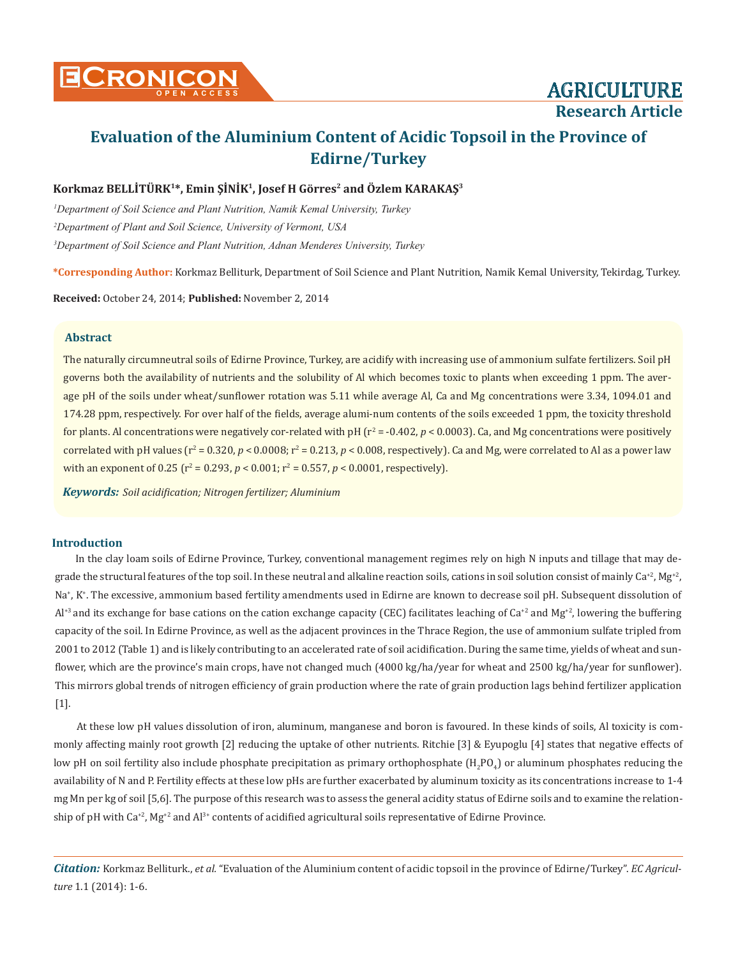# **Research Article**

# **Evaluation of the Aluminium Content of Acidic Topsoil in the Province of Edirne/Turkey**

# **Korkmaz BELLİTÜRK<sup>1</sup>\*, Emin ŞİNİK1, Josef H Görres2 and Özlem KARAKAŞ3**

*1 Department of Soil Science and Plant Nutrition, Namik Kemal University, Turkey 2 Department of Plant and Soil Science, University of Vermont, USA 3 Department of Soil Science and Plant Nutrition, Adnan Menderes University, Turkey*

**\*Corresponding Author:** Korkmaz Belliturk, Department of Soil Science and Plant Nutrition, Namik Kemal University, Tekirdag, Turkey.

**Received:** October 24, 2014; **Published:** November 2, 2014

#### **Abstract**

The naturally circumneutral soils of Edirne Province, Turkey, are acidify with increasing use of ammonium sulfate fertilizers. Soil pH governs both the availability of nutrients and the solubility of Al which becomes toxic to plants when exceeding 1 ppm. The average pH of the soils under wheat/sunflower rotation was 5.11 while average Al, Ca and Mg concentrations were 3.34, 1094.01 and 174.28 ppm, respectively. For over half of the fields, average alumi-num contents of the soils exceeded 1 ppm, the toxicity threshold for plants. Al concentrations were negatively cor-related with pH ( $r^2$  = -0.402,  $p$  < 0.0003). Ca, and Mg concentrations were positively correlated with pH values ( $r^2$  = 0.320,  $p$  < 0.0008;  $r^2$  = 0.213,  $p$  < 0.008, respectively). Ca and Mg, were correlated to Al as a power law with an exponent of  $0.25$  ( $r^2 = 0.293$ ,  $p < 0.001$ ;  $r^2 = 0.557$ ,  $p < 0.0001$ , respectively).

*Keywords: Soil acidification; Nitrogen fertilizer; Aluminium*

#### **Introduction**

In the clay loam soils of Edirne Province, Turkey, conventional management regimes rely on high N inputs and tillage that may degrade the structural features of the top soil. In these neutral and alkaline reaction soils, cations in soil solution consist of mainly  $Ca^{+2}$ , Mg<sup>+2</sup>, Na<sup>+</sup>, K<sup>+</sup>. The excessive, ammonium based fertility amendments used in Edirne are known to decrease soil pH. Subsequent dissolution of  $Al<sup>+3</sup>$  and its exchange for base cations on the cation exchange capacity (CEC) facilitates leaching of Ca<sup>+2</sup> and Mg<sup>+2</sup>, lowering the buffering capacity of the soil. In Edirne Province, as well as the adjacent provinces in the Thrace Region, the use of ammonium sulfate tripled from 2001 to 2012 (Table 1) and is likely contributing to an accelerated rate of soil acidification. During the same time, yields of wheat and sunflower, which are the province's main crops, have not changed much (4000 kg/ha/year for wheat and 2500 kg/ha/year for sunflower). This mirrors global trends of nitrogen efficiency of grain production where the rate of grain production lags behind fertilizer application [1].

At these low pH values dissolution of iron, aluminum, manganese and boron is favoured. In these kinds of soils, Al toxicity is commonly affecting mainly root growth [2] reducing the uptake of other nutrients. Ritchie [3] & Eyupoglu [4] states that negative effects of low pH on soil fertility also include phosphate precipitation as primary orthophosphate  $({\rm H_2PO_4})$  or aluminum phosphates reducing the availability of N and P. Fertility effects at these low pHs are further exacerbated by aluminum toxicity as its concentrations increase to 1-4 mg Mn per kg of soil [5,6]. The purpose of this research was to assess the general acidity status of Edirne soils and to examine the relationship of pH with  $Ca^{+2}$ , Mg<sup>+2</sup> and Al<sup>3+</sup> contents of acidified agricultural soils representative of Edirne Province.

*Citation:* Korkmaz Belliturk., *et al.* "Evaluation of the Aluminium content of acidic topsoil in the province of Edirne/Turkey". *EC Agriculture* 1.1 (2014): 1-6.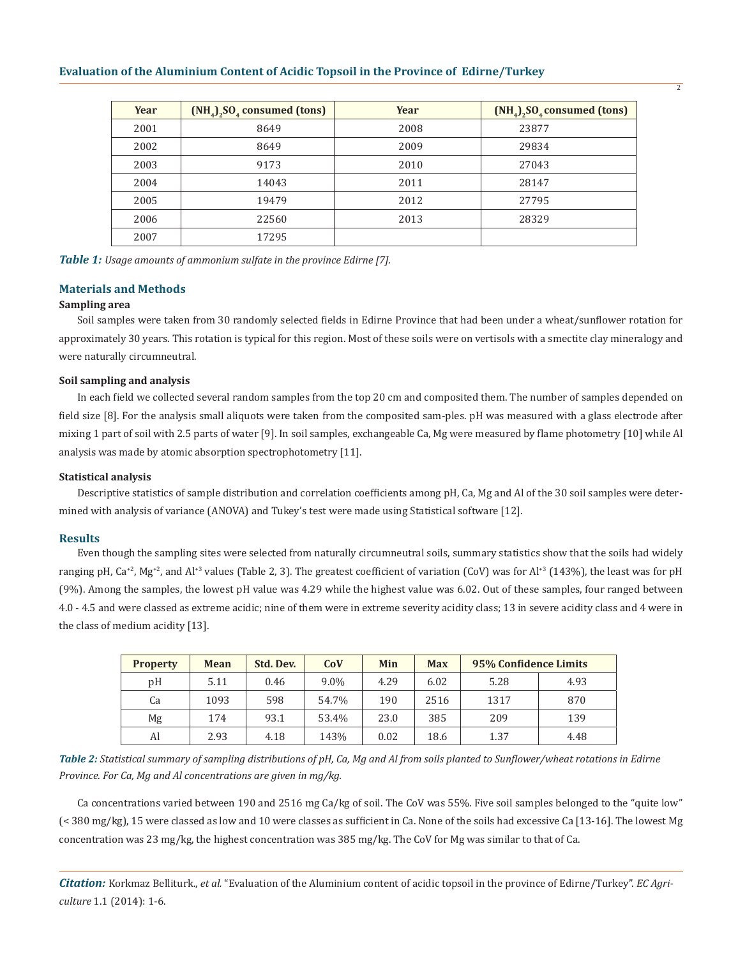| Year | $(NH4)2SO4 consumed (tons)$ | Year | $(NH4)2SO4 consumed (tons)$ |  |
|------|-----------------------------|------|-----------------------------|--|
| 2001 | 8649                        | 2008 | 23877                       |  |
| 2002 | 8649                        | 2009 | 29834                       |  |
| 2003 | 9173                        | 2010 | 27043                       |  |
| 2004 | 14043                       | 2011 | 28147                       |  |
| 2005 | 19479                       | 2012 | 27795                       |  |
| 2006 | 22560                       | 2013 | 28329                       |  |
| 2007 | 17295                       |      |                             |  |

 $\overline{2}$ 

*Table 1: Usage amounts of ammonium sulfate in the province Edirne [7].*

#### **Materials and Methods**

#### **Sampling area**

Soil samples were taken from 30 randomly selected fields in Edirne Province that had been under a wheat/sunflower rotation for approximately 30 years. This rotation is typical for this region. Most of these soils were on vertisols with a smectite clay mineralogy and were naturally circumneutral.

#### **Soil sampling and analysis**

In each field we collected several random samples from the top 20 cm and composited them. The number of samples depended on field size [8]. For the analysis small aliquots were taken from the composited sam-ples. pH was measured with a glass electrode after mixing 1 part of soil with 2.5 parts of water [9]. In soil samples, exchangeable Ca, Mg were measured by flame photometry [10] while Al analysis was made by atomic absorption spectrophotometry [11].

#### **Statistical analysis**

Descriptive statistics of sample distribution and correlation coefficients among pH, Ca, Mg and Al of the 30 soil samples were determined with analysis of variance (ANOVA) and Tukey's test were made using Statistical software [12].

#### **Results**

Even though the sampling sites were selected from naturally circumneutral soils, summary statistics show that the soils had widely ranging pH,  $Ca^{+2}$ , Mg<sup>+2</sup>, and Al<sup>+3</sup> values (Table 2, 3). The greatest coefficient of variation (CoV) was for  $A$ l<sup>+3</sup> (143%), the least was for pH (9%). Among the samples, the lowest pH value was 4.29 while the highest value was 6.02. Out of these samples, four ranged between 4.0 - 4.5 and were classed as extreme acidic; nine of them were in extreme severity acidity class; 13 in severe acidity class and 4 were in the class of medium acidity [13].

| <b>Property</b> | <b>Mean</b> | Std. Dev. | CoV   | Min  | <b>Max</b> | 95% Confidence Limits |      |
|-----------------|-------------|-----------|-------|------|------------|-----------------------|------|
| pH              | 5.11        | 0.46      | 9.0%  | 4.29 | 6.02       | 5.28                  | 4.93 |
| Ca              | 1093        | 598       | 54.7% | 190  | 2516       | 1317                  | 870  |
| Mg              | 174         | 93.1      | 53.4% | 23.0 | 385        | 209                   | 139  |
| Al              | 2.93        | 4.18      | 143%  | 0.02 | 18.6       | 1.37                  | 4.48 |

*Table 2: Statistical summary of sampling distributions of pH, Ca, Mg and Al from soils planted to Sunflower/wheat rotations in Edirne Province. For Ca, Mg and Al concentrations are given in mg/kg.*

Ca concentrations varied between 190 and 2516 mg Ca/kg of soil. The CoV was 55%. Five soil samples belonged to the "quite low" (< 380 mg/kg), 15 were classed as low and 10 were classes as sufficient in Ca. None of the soils had excessive Ca [13-16]. The lowest Mg concentration was 23 mg/kg, the highest concentration was 385 mg/kg. The CoV for Mg was similar to that of Ca.

*Citation:* Korkmaz Belliturk., *et al.* "Evaluation of the Aluminium content of acidic topsoil in the province of Edirne/Turkey". *EC Agriculture* 1.1 (2014): 1-6.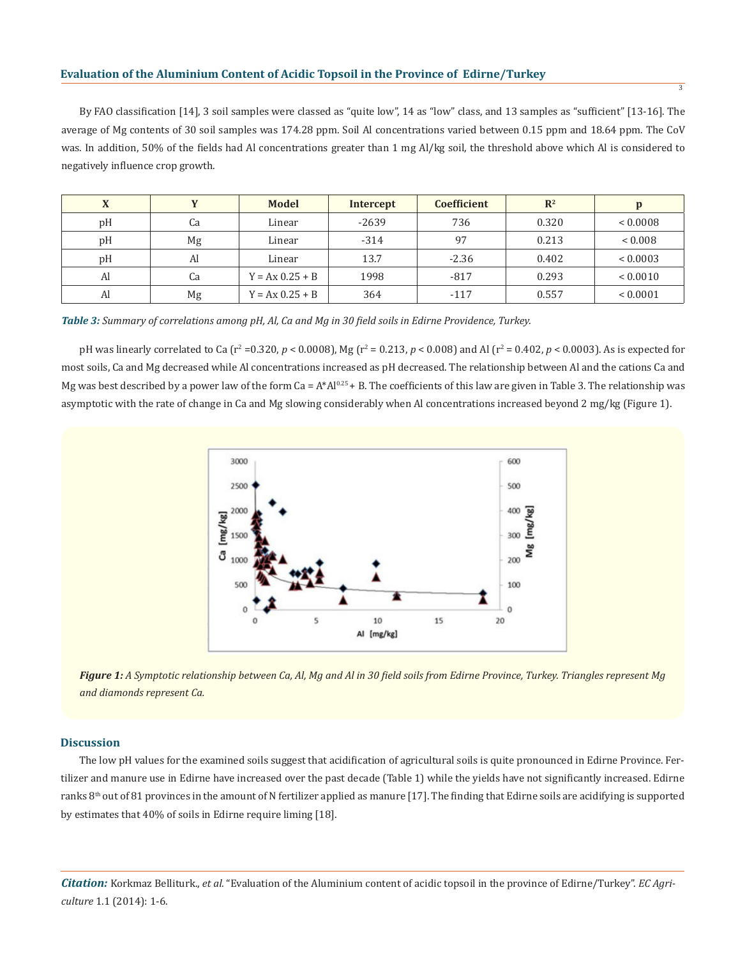By FAO classification [14], 3 soil samples were classed as "quite low", 14 as "low" class, and 13 samples as "sufficient" [13-16]. The average of Mg contents of 30 soil samples was 174.28 ppm. Soil Al concentrations varied between 0.15 ppm and 18.64 ppm. The CoV was. In addition, 50% of the fields had Al concentrations greater than 1 mg Al/kg soil, the threshold above which Al is considered to negatively influence crop growth.

| $\Lambda$ |    | <b>Model</b>      | <b>Intercept</b> | <b>Coefficient</b> | $\mathbb{R}^2$ |                |
|-----------|----|-------------------|------------------|--------------------|----------------|----------------|
| pH        | Ca | Linear            | $-2639$          | 736                | 0.320          | < 0.0008       |
| pH        | Mg | Linear            | $-314$           | 97                 | 0.213          | ${}_{< 0.008}$ |
| pH        | Al | Linear            | 13.7             | $-2.36$            | 0.402          | < 0.0003       |
| Al        | Ca | $Y = Ax 0.25 + B$ | 1998             | $-817$             | 0.293          | ${}< 0.0010$   |
| Al        | Mg | $Y = Ax 0.25 + B$ | 364              | $-117$             | 0.557          | ${}< 0.0001$   |

*Table 3: Summary of correlations among pH, Al, Ca and Mg in 30 field soils in Edirne Providence, Turkey.*

pH was linearly correlated to Ca (r<sup>2</sup> =0.320, *p* < 0.0008), Mg (r<sup>2</sup> = 0.213, *p* < 0.008) and Al (r<sup>2</sup> = 0.402, *p* < 0.0003). As is expected for most soils, Ca and Mg decreased while Al concentrations increased as pH decreased. The relationship between Al and the cations Ca and Mg was best described by a power law of the form  $Ca = A*AI^{0.25} + B$ . The coefficients of this law are given in Table 3. The relationship was asymptotic with the rate of change in Ca and Mg slowing considerably when Al concentrations increased beyond 2 mg/kg (Figure 1).



*Figure 1: A Symptotic relationship between Ca, Al, Mg and Al in 30 field soils from Edirne Province, Turkey. Triangles represent Mg and diamonds represent Ca.*

#### **Discussion**

The low pH values for the examined soils suggest that acidification of agricultural soils is quite pronounced in Edirne Province. Fertilizer and manure use in Edirne have increased over the past decade (Table 1) while the yields have not significantly increased. Edirne ranks 8<sup>th</sup> out of 81 provinces in the amount of N fertilizer applied as manure [17]. The finding that Edirne soils are acidifying is supported by estimates that 40% of soils in Edirne require liming [18].

*Citation:* Korkmaz Belliturk., *et al.* "Evaluation of the Aluminium content of acidic topsoil in the province of Edirne/Turkey". *EC Agriculture* 1.1 (2014): 1-6.

3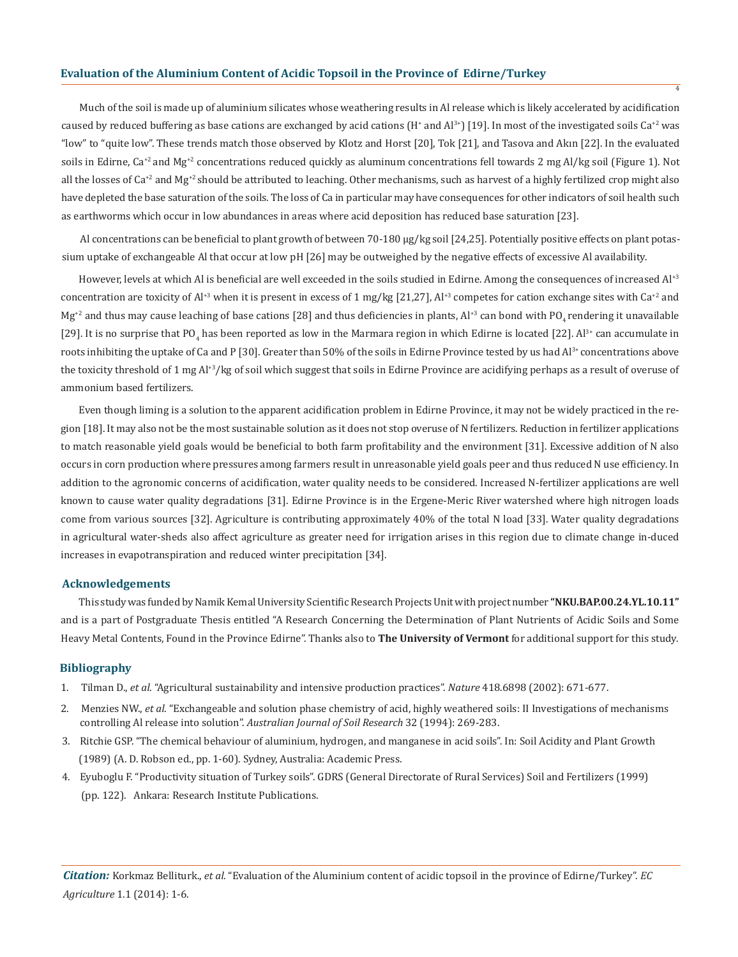Much of the soil is made up of aluminium silicates whose weathering results in Al release which is likely accelerated by acidification caused by reduced buffering as base cations are exchanged by acid cations (H<sup>+</sup> and Al<sup>3+</sup>) [19]. In most of the investigated soils Ca<sup>+2</sup> was "low" to "quite low". These trends match those observed by Klotz and Horst [20], Tok [21], and Tasova and Akın [22]. In the evaluated soils in Edirne, Ca<sup>+2</sup> and Mg<sup>+2</sup> concentrations reduced quickly as aluminum concentrations fell towards 2 mg Al/kg soil (Figure 1). Not all the losses of  $Ca^{+2}$  and Mg<sup>+2</sup> should be attributed to leaching. Other mechanisms, such as harvest of a highly fertilized crop might also have depleted the base saturation of the soils. The loss of Ca in particular may have consequences for other indicators of soil health such as earthworms which occur in low abundances in areas where acid deposition has reduced base saturation [23].

 $\overline{A}$ 

Al concentrations can be beneficial to plant growth of between 70-180 μg/kg soil [24,25]. Potentially positive effects on plant potassium uptake of exchangeable Al that occur at low pH [26] may be outweighed by the negative effects of excessive Al availability.

However, levels at which Al is beneficial are well exceeded in the soils studied in Edirne. Among the consequences of increased Al<sup>+3</sup> concentration are toxicity of Al<sup>+3</sup> when it is present in excess of 1 mg/kg [21,27], Al<sup>+3</sup> competes for cation exchange sites with Ca<sup>+2</sup> and  $Mg^{2}$  and thus may cause leaching of base cations [28] and thus deficiencies in plants, Al<sup>+3</sup> can bond with PO<sub>4</sub> rendering it unavailable [29]. It is no surprise that PO<sub>4</sub> has been reported as low in the Marmara region in which Edirne is located [22]. Al<sup>3+</sup> can accumulate in roots inhibiting the uptake of Ca and P [30]. Greater than  $50\%$  of the soils in Edirne Province tested by us had  $Al^{3*}$  concentrations above the toxicity threshold of 1 mg Al<sup>+3</sup>/kg of soil which suggest that soils in Edirne Province are acidifying perhaps as a result of overuse of ammonium based fertilizers.

Even though liming is a solution to the apparent acidification problem in Edirne Province, it may not be widely practiced in the region [18]. It may also not be the most sustainable solution as it does not stop overuse of N fertilizers. Reduction in fertilizer applications to match reasonable yield goals would be beneficial to both farm profitability and the environment [31]. Excessive addition of N also occurs in corn production where pressures among farmers result in unreasonable yield goals peer and thus reduced N use efficiency. In addition to the agronomic concerns of acidification, water quality needs to be considered. Increased N-fertilizer applications are well known to cause water quality degradations [31]. Edirne Province is in the Ergene-Meric River watershed where high nitrogen loads come from various sources [32]. Agriculture is contributing approximately 40% of the total N load [33]. Water quality degradations in agricultural water-sheds also affect agriculture as greater need for irrigation arises in this region due to climate change in-duced increases in evapotranspiration and reduced winter precipitation [34].

#### **Acknowledgements**

This study was funded by Namik Kemal University Scientific Research Projects Unit with project number **"NKU.BAP.00.24.YL.10.11"**  and is a part of Postgraduate Thesis entitled "A Research Concerning the Determination of Plant Nutrients of Acidic Soils and Some Heavy Metal Contents, Found in the Province Edirne". Thanks also to **The University of Vermont** for additional support for this study.

#### **Bibliography**

- 1. Tilman D., *et al*. "Agricultural sustainability and intensive production practices". *Nature* 418.6898 (2002): 671-677.
- 2. Menzies NW., *et al*. "Exchangeable and solution phase chemistry of acid, highly weathered soils: II Investigations of mechanisms controlling Al release into solution". *Australian Journal of Soil Research* 32 (1994): 269-283.
- 3. Ritchie GSP. "The chemical behaviour of aluminium, hydrogen, and manganese in acid soils". In: Soil Acidity and Plant Growth (1989) (A. D. Robson ed., pp. 1-60). Sydney, Australia: Academic Press.
- 4. Eyuboglu F. "Productivity situation of Turkey soils". GDRS (General Directorate of Rural Services) Soil and Fertilizers (1999) (pp. 122). Ankara: Research Institute Publications.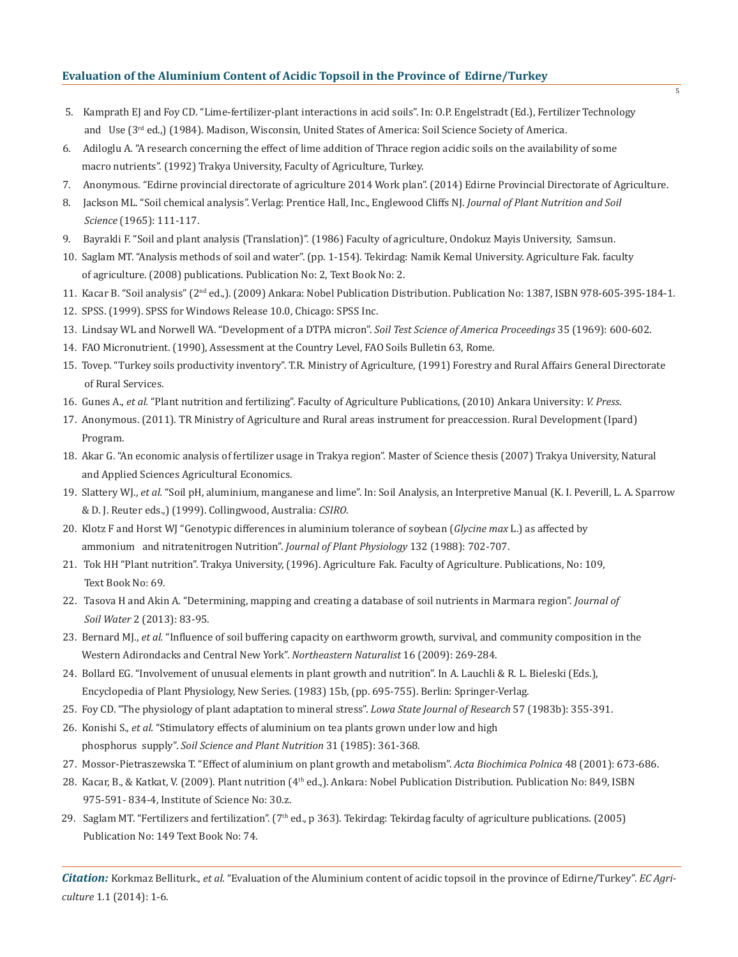- 5. Kamprath EJ and Foy CD. "Lime-fertilizer-plant interactions in acid soils". In: O.P. Engelstradt (Ed.), Fertilizer Technology and Use (3<sup>rd</sup> ed.,) (1984). Madison, Wisconsin, United States of America: Soil Science Society of America.
- 6. Adiloglu A. "A research concerning the effect of lime addition of Thrace region acidic soils on the availability of some macro nutrients". (1992) Trakya University, Faculty of Agriculture, Turkey.
- 7. Anonymous. "Edirne provincial directorate of agriculture 2014 Work plan". (2014) Edirne Provincial Directorate of Agriculture.
- 8. Jackson ML. "Soil chemical analysis". Verlag: Prentice Hall, Inc., Englewood Cliffs NJ. *Journal of Plant Nutrition and Soil Science* (1965): 111-117.
- 9. Bayrakli F. "Soil and plant analysis (Translation)". (1986) Faculty of agriculture, Ondokuz Mayis University, Samsun.
- 10. Saglam MT. "Analysis methods of soil and water". (pp. 1-154). Tekirdag: Namik Kemal University. Agriculture Fak. faculty of agriculture. (2008) publications. Publication No: 2, Text Book No: 2.
- 11. Kacar B. "Soil analysis" (2nd ed.,). (2009) Ankara: Nobel Publication Distribution. Publication No: 1387, ISBN 978-605-395-184-1.
- 12. SPSS. (1999). SPSS for Windows Release 10.0, Chicago: SPSS Inc.
- 13. Lindsay WL and Norwell WA. "Development of a DTPA micron". *Soil Test Science of America Proceedings* 35 (1969): 600-602.
- 14. FAO Micronutrient. (1990), Assessment at the Country Level, FAO Soils Bulletin 63, Rome.
- 15. Tovep. "Turkey soils productivity inventory". T.R. Ministry of Agriculture, (1991) Forestry and Rural Affairs General Directorate of Rural Services.
- 16. Gunes A., *et al.* "Plant nutrition and fertilizing". Faculty of Agriculture Publications, (2010) Ankara University: *V. Press*.
- 17. Anonymous. (2011). TR Ministry of Agriculture and Rural areas instrument for preaccession. Rural Development (Ipard) Program.
- 18. Akar G. "An economic analysis of fertilizer usage in Trakya region". Master of Science thesis (2007) Trakya University, Natural and Applied Sciences Agricultural Economics.
- 19. Slattery WJ., *et al.* "Soil pH, aluminium, manganese and lime". In: Soil Analysis, an Interpretive Manual (K. I. Peverill, L. A. Sparrow & D. J. Reuter eds.,) (1999). Collingwood, Australia: *CSIRO*.
- 20. Klotz F and Horst WJ "Genotypic differences in aluminium tolerance of soybean (*Glycine max* L.) as affected by ammonium and nitratenitrogen Nutrition". *Journal of Plant Physiology* 132 (1988): 702-707.
- 21. Tok HH "Plant nutrition". Trakya University, (1996). Agriculture Fak. Faculty of Agriculture. Publications, No: 109, Text Book No: 69.
- 22. Tasova H and Akin A. "Determining, mapping and creating a database of soil nutrients in Marmara region". *Journal of Soil Water* 2 (2013): 83-95.
- 23. Bernard MJ., *et al.* "Influence of soil buffering capacity on earthworm growth, survival, and community composition in the Western Adirondacks and Central New York". *Northeastern Naturalist* 16 (2009): 269-284.
- 24. Bollard EG. "Involvement of unusual elements in plant growth and nutrition". In A. Lauchli & R. L. Bieleski (Eds.), Encyclopedia of Plant Physiology, New Series. (1983) 15b, (pp. 695-755). Berlin: Springer-Verlag.
- 25. Foy CD. "The physiology of plant adaptation to mineral stress". *Lowa State Journal of Research* 57 (1983b): 355-391.
- 26. Konishi S., *et al.* "Stimulatory effects of aluminium on tea plants grown under low and high phosphorus supply". *Soil Science and Plant Nutrition* 31 (1985): 361-368.
- 27. Mossor-Pietraszewska T. "Effect of aluminium on plant growth and metabolism". *Acta Biochimica Polnica* 48 (2001): 673-686.
- 28. Kacar, B., & Katkat, V. (2009). Plant nutrition (4<sup>th</sup> ed.,). Ankara: Nobel Publication Distribution. Publication No: 849, ISBN 975-591- 834-4, Institute of Science No: 30.z.
- 29. Saglam MT. "Fertilizers and fertilization". ( $7<sup>th</sup>$  ed., p 363). Tekirdag: Tekirdag faculty of agriculture publications. (2005) Publication No: 149 Text Book No: 74.

*Citation:* Korkmaz Belliturk., *et al.* "Evaluation of the Aluminium content of acidic topsoil in the province of Edirne/Turkey". *EC Agriculture* 1.1 (2014): 1-6.

 $\overline{5}$